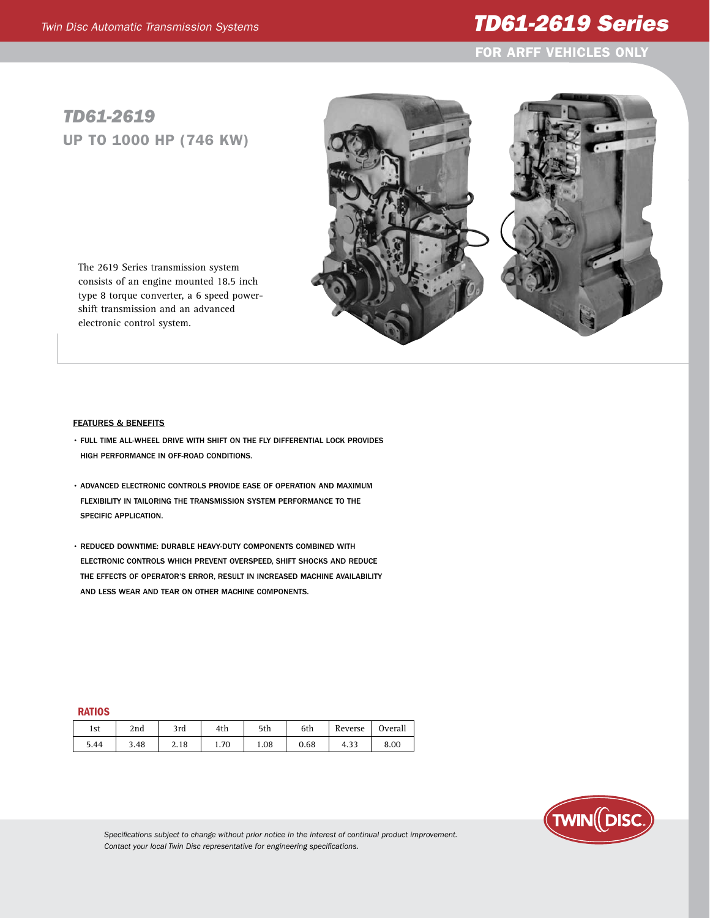## *Twin Disc Automatic Transmission Systems TD61-2619 Series*

For ARFF Vehicles only

## *TD61-2619* Up to 1000 hp (746 kw)

The 2619 Series transmission system consists of an engine mounted 18.5 inch type 8 torque converter, a 6 speed powershift transmission and an advanced electronic control system.



- Full time all-wheel drive with shift on the fly differential lock provides high performance in off-road conditions.
- Advanced electronic controls provide ease of operation and maximum flexibility in tailoring the transmission system performance to the specific application.
- Reduced downtime: Durable heavy-duty components combined with electronic controls which prevent overspeed, shift shocks and reduce the effects of operator's error, result in increased machine availability and less wear and tear on other machine components.

## **RATIOS**

| 1st  | 2nd  | 3rd  | 4th  | 5th  | 6th  | Reverse | Overall |
|------|------|------|------|------|------|---------|---------|
| 5.44 | 3.48 | 2.18 | 1.70 | 1.08 | 0.68 | 4.35    | 8.00    |



*Specifications subject to change without prior notice in the interest of continual product improvement. Contact your local Twin Disc representative for engineering specifications.*